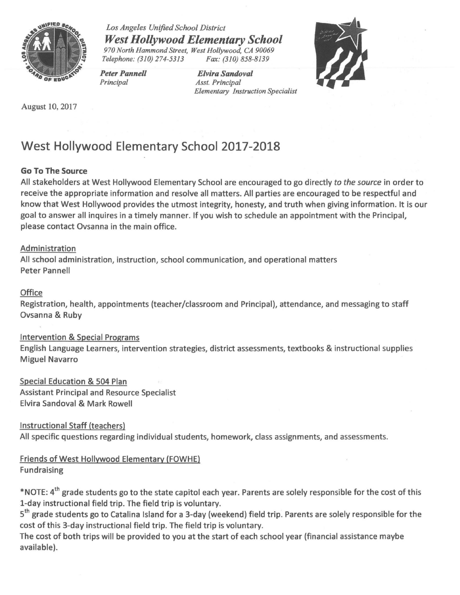

*Los Angeles Unified School District West Hollywood Elementary School 970 North Hammond Street, West Hollywood, CA 90069 Telephone: (310) 274-5313* 

*Peter Pannell Principal* 

*Elvira Sandoval Asst. Principal Elementary Instruction Specialist* 



August 10, 2017

# **West Hollywood Elementary School 2017-2018**

### **Go To The Source**

All stakeholders at West Hollywood Elementary School are encouraged to go directly *to the source* in order to receive the appropriate information and resolve all matters. All parties are encouraged to be respectful and know that West Hollywood provides the utmost integrity, honesty, and truth when giving information. lt is our goal to answer all inquires in a timely manner. If you wish to schedule an appointment with the Principal, please contact Ovsanna in the main office.

#### Administration

All school administration, instruction, school communication, and operational matters Peter Pannell

#### **Office**

Registration, health, appointments (teacher/classroom and Principal), attendance, and messaging to staff Ovsanna & Ruby

#### Intervention & Special Programs

English Language Learners, intervention strategies, district assessments, textbooks & instructional supplies Miguel Navarro

Special Education & 504 Plan Assistant Principal and Resource Specialist Elvira Sandoval & Mark Rowell

Instructional Staff (teachers) All specific questions regarding individual students, homework, class assignments, and assessments.

## Friends of West Hollywood Elementary (FOWHE) Fundraising

\*NOTE: 4<sup>th</sup> grade students go to the state capitol each year. Parents are solely responsible for the cost of this 1-day instructional field trip. The field trip is voluntary.

5 th grade students go to Catalina Island for a 3-day (weekend) field trip. Parents are solely responsible for the cost of this 3-day instructional field trip. The field trip is voluntary.

The cost of both trips will be provided to you at the start of each school year (financial assistance maybe available).